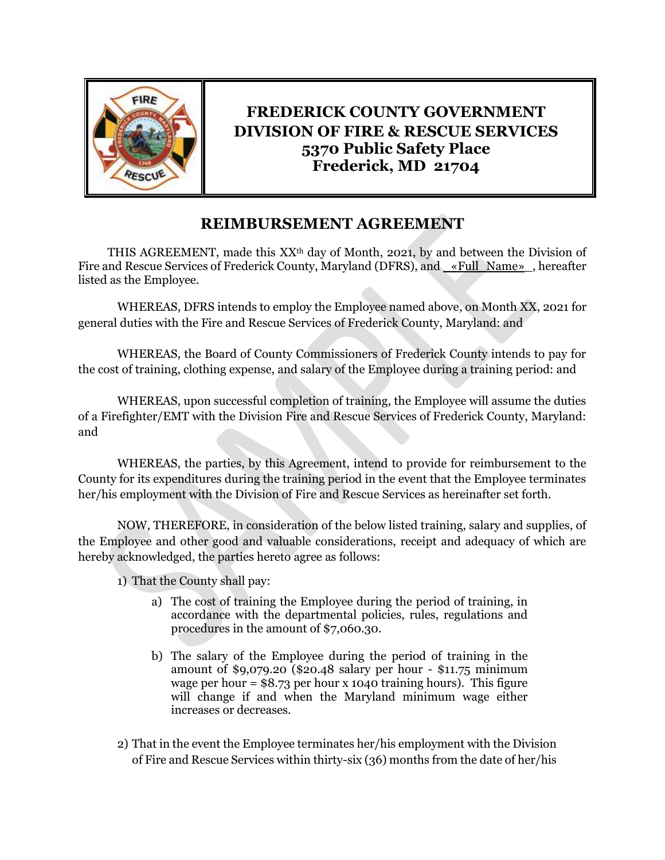

## **FREDERICK COUNTY GOVERNMENT DIVISION OF FIRE & RESCUE SERVICES 5370 Public Safety Place Frederick, MD 21704**

## **REIMBURSEMENT AGREEMENT**

THIS AGREEMENT, made this  $XX<sup>th</sup>$  day of Month, 2021, by and between the Division of Fire and Rescue Services of Frederick County, Maryland (DFRS), and <u>«Full\_Name»</u>, hereafter listed as the Employee.

WHEREAS, DFRS intends to employ the Employee named above, on Month XX, 2021 for general duties with the Fire and Rescue Services of Frederick County, Maryland: and

WHEREAS, the Board of County Commissioners of Frederick County intends to pay for the cost of training, clothing expense, and salary of the Employee during a training period: and

WHEREAS, upon successful completion of training, the Employee will assume the duties of a Firefighter/EMT with the Division Fire and Rescue Services of Frederick County, Maryland: and

WHEREAS, the parties, by this Agreement, intend to provide for reimbursement to the County for its expenditures during the training period in the event that the Employee terminates her/his employment with the Division of Fire and Rescue Services as hereinafter set forth.

NOW, THEREFORE, in consideration of the below listed training, salary and supplies, of the Employee and other good and valuable considerations, receipt and adequacy of which are hereby acknowledged, the parties hereto agree as follows:

1) That the County shall pay:

- a) The cost of training the Employee during the period of training, in accordance with the departmental policies, rules, regulations and procedures in the amount of \$7,060.30.
- b) The salary of the Employee during the period of training in the amount of \$9,079.20 (\$20.48 salary per hour - \$11.75 minimum wage per hour  $=$  \$8.73 per hour x 1040 training hours). This figure will change if and when the Maryland minimum wage either increases or decreases.
- 2) That in the event the Employee terminates her/his employment with the Division of Fire and Rescue Services within thirty-six (36) months from the date of her/his